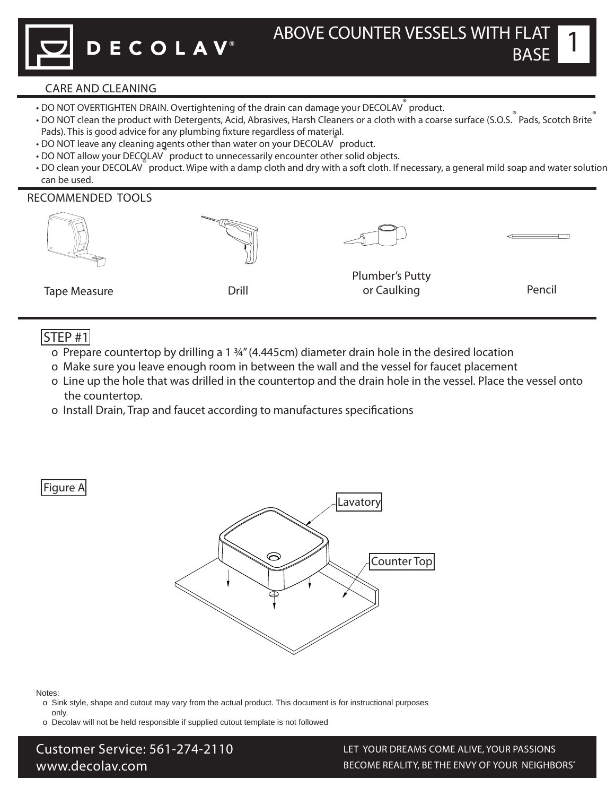1

## CARE AND CLEANING

- DO NOT OVERTIGHTEN DRAIN. Overtightening of the drain can damage your DECOLAV<sup>®</sup> product.
- **DO NOT clean the product with Detergents, Acid, Abrasives, Harsh Cleaners or a cloth with a coarse surface (S.O.S.**® Pads, Scotch Brite® Pads). This is good advice for any plumbing fixture regardless of material.
- DO NOT leave any cleaning agents other than water on your DECOLAV® product.
- **DO NOT allow your DECOLAV** product to unnecessarily encounter other solid objects.
- DO clean your DECOLAV® product. Wipe with a damp cloth and dry with a soft cloth. If necessary, a general mild soap and water solution can be used.

## RECOMMENDED TOOLS

| <b>Tape Measure</b> | Drill | <b>Plumber's Putty</b><br>or Caulking | Pencil |
|---------------------|-------|---------------------------------------|--------|

## $STEP$ #1

- o Prepare countertop by drilling a 1 ¾" (4.445cm) diameter drain hole in the desired location
- o Make sure you leave enough room in between the wall and the vessel for faucet placement
- o Line up the hole that was drilled in the countertop and the drain hole in the vessel. Place the vessel onto the countertop.
- o Install Drain, Trap and faucet according to manufactures specifications

Figure A



Notes:

- o Sink style, shape and cutout may vary from the actual product. This document is for instructional purposes
- only. o Decolav will not be held responsible if supplied cutout template is not followed